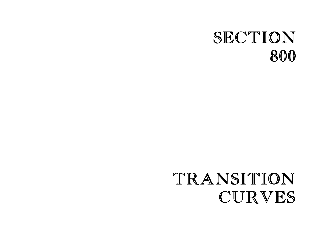# SECTION 800

# TRANSITION CURVES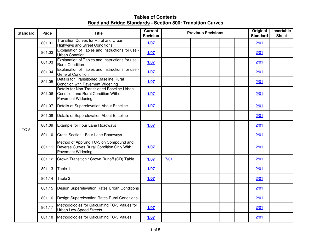| <b>Standard</b> | Page   | <b>Title</b>                                                                                                     | <b>Current</b><br><b>Revision</b> | <b>Previous Revisions</b> |  |  |  |  |  | Original<br><b>Standard</b> | <b>Insertable</b><br><b>Sheet</b> |
|-----------------|--------|------------------------------------------------------------------------------------------------------------------|-----------------------------------|---------------------------|--|--|--|--|--|-----------------------------|-----------------------------------|
|                 | 801.01 | Transition Curves for Rural and Urban<br><b>Highways and Street Conditions</b>                                   | 1/07                              |                           |  |  |  |  |  | 2/01                        |                                   |
|                 | 801.02 | Explanation of Tables and Instructions for use -<br><b>Urban Condtion</b>                                        | 1/07                              |                           |  |  |  |  |  | 2/01                        |                                   |
|                 | 801.03 | Explanation of Tables and Instructions for use -<br><b>Rural Condition</b>                                       | 1/07                              |                           |  |  |  |  |  | 2/01                        |                                   |
|                 | 801.04 | Explanation of Tables and Instructions for use -<br><b>General Condition</b>                                     | 1/07                              |                           |  |  |  |  |  | 2/01                        |                                   |
|                 | 801.05 | <b>Details for Transitioned Baseline Rural</b><br>Condition with Pavement Widening                               | 1/07                              |                           |  |  |  |  |  | 2/01                        |                                   |
|                 | 801.06 | Details for Non-Transitioned Baseline Urban<br>Condition and Rural Condition Without<br><b>Pavement Widening</b> | 1/07                              |                           |  |  |  |  |  | 2/01                        |                                   |
|                 | 801.07 | Details of Superelevation About Baseline                                                                         | 1/07                              |                           |  |  |  |  |  | 2/01                        |                                   |
| $TC-5$          | 801.08 | Details of Superelevation About Baseline                                                                         |                                   |                           |  |  |  |  |  | 2/01                        |                                   |
|                 | 801.09 | Example for Four Lane Roadways                                                                                   | 1/07                              |                           |  |  |  |  |  | 2/01                        |                                   |
|                 | 801.10 | Cross Section - Four Lane Roadways                                                                               |                                   |                           |  |  |  |  |  | 2/01                        |                                   |
|                 | 801.11 | Method of Applying TC-5 on Compound and<br>Reverse Curves Rural Condition Only With<br><b>Pavement Widening</b>  | 1/07                              |                           |  |  |  |  |  | 2/01                        |                                   |
|                 | 801.12 | Crown Transition / Crown Runoff (CR) Table                                                                       | 1/07                              | 7/01                      |  |  |  |  |  | 2/01                        |                                   |
|                 | 801.13 | Table 1                                                                                                          | 1/07                              |                           |  |  |  |  |  | 2/01                        |                                   |
|                 | 801.14 | Table 2                                                                                                          | 1/07                              |                           |  |  |  |  |  | 2/01                        |                                   |
|                 | 801.15 | Design Superelevation Rates Urban Conditions                                                                     |                                   |                           |  |  |  |  |  | 2/01                        |                                   |
|                 | 801.16 | Design Superelevation Rates Rural Conditions                                                                     |                                   |                           |  |  |  |  |  | 2/01                        |                                   |
|                 | 801.17 | Methodologies for Calculating TC-5 Values for<br><b>Urban Low-Speed Streets</b>                                  | 1/07                              |                           |  |  |  |  |  | 2/01                        |                                   |
|                 | 801.18 | Methodologies for Calculating TC-5 Values                                                                        | 1/07                              |                           |  |  |  |  |  | 2/01                        |                                   |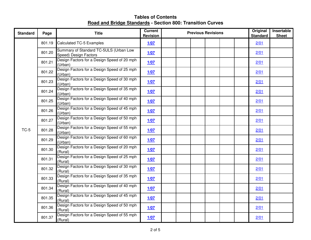| <b>Standard</b> | Page   | <b>Title</b>                                                    | <b>Current</b><br><b>Revision</b> | <b>Previous Revisions</b> | Original<br><b>Standard</b> | Insertable<br><b>Sheet</b> |
|-----------------|--------|-----------------------------------------------------------------|-----------------------------------|---------------------------|-----------------------------|----------------------------|
|                 | 801.19 | Calculated TC-5 Examples                                        | 1/07                              |                           | 2/01                        |                            |
|                 | 801.20 | Summary of Standard TC-5ULS (Urban Low<br>Speed) Design Factors | 1/07                              |                           | 2/01                        |                            |
|                 | 801.21 | Design Factors for a Design Speed of 20 mph<br>(Urban)          | 1/07                              |                           | 2/01                        |                            |
|                 | 801.22 | Design Factors for a Design Speed of 25 mph<br>(Urban)          | 1/07                              |                           | 2/01                        |                            |
|                 | 801.23 | Design Factors for a Design Speed of 30 mph<br>(Urban)          | 1/07                              |                           | 2/01                        |                            |
|                 | 801.24 | Design Factors for a Design Speed of 35 mph<br>(Urban)          | 1/07                              |                           | 2/01                        |                            |
|                 | 801.25 | Design Factors for a Design Speed of 40 mph<br>(Urban)          | 1/07                              |                           | 2/01                        |                            |
|                 | 801.26 | Design Factors for a Design Speed of 45 mph<br>(Urban)          | 1/07                              |                           | 2/01                        |                            |
|                 | 801.27 | Design Factors for a Design Speed of 50 mph<br>(Urban)          | 1/07                              |                           | 2/01                        |                            |
| $TC-5$          | 801.28 | Design Factors for a Design Speed of 55 mph<br>(Urban)          | 1/07                              |                           | 2/01                        |                            |
|                 | 801.29 | Design Factors for a Design Speed of 60 mph<br>(Urban)          | 1/07                              |                           | 2/01                        |                            |
|                 | 801.30 | Design Factors for a Design Speed of 20 mph<br>(Rural)          | 1/07                              |                           | 2/01                        |                            |
|                 | 801.31 | Design Factors for a Design Speed of 25 mph<br>(Rural)          | 1/07                              |                           | 2/01                        |                            |
|                 | 801.32 | Design Factors for a Design Speed of 30 mph<br>(Rural)          | 1/07                              |                           | 2/01                        |                            |
|                 | 801.33 | Design Factors for a Design Speed of 35 mph<br>(Rural)          | 1/07                              |                           | 2/01                        |                            |
|                 | 801.34 | Design Factors for a Design Speed of 40 mph<br>(Rural)          | 1/07                              |                           | 2/01                        |                            |
|                 | 801.35 | Design Factors for a Design Speed of 45 mph<br>(Rural)          | 1/07                              |                           | 2/01                        |                            |
|                 | 801.36 | Design Factors for a Design Speed of 50 mph<br>(Rural)          | 1/07                              |                           | 2/01                        |                            |
|                 | 801.37 | Design Factors for a Design Speed of 55 mph<br>(Rural)          | 1/07                              |                           | 2/01                        |                            |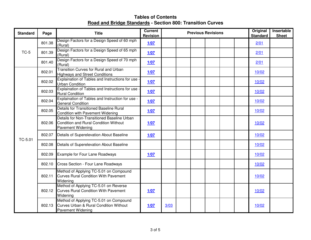| <b>Standard</b> | Page   | <b>Title</b>                                                                                                            | <b>Current</b><br><b>Revision</b> | <b>Previous Revisions</b> |  |  |  |  |  | Original<br><b>Standard</b> | Insertable<br><b>Sheet</b> |
|-----------------|--------|-------------------------------------------------------------------------------------------------------------------------|-----------------------------------|---------------------------|--|--|--|--|--|-----------------------------|----------------------------|
|                 | 801.38 | Design Factors for a Design Speed of 60 mph<br>(Rural)                                                                  | 1/07                              |                           |  |  |  |  |  | 2/01                        |                            |
| $TC-5$          | 801.39 | Design Factors for a Design Speed of 65 mph<br>(Rural)                                                                  | 1/07                              |                           |  |  |  |  |  | 2/01                        |                            |
|                 | 801.40 | Design Factors for a Design Speed of 70 mph<br>(Rural)                                                                  | 1/07                              |                           |  |  |  |  |  | 2/01                        |                            |
|                 | 802.01 | <b>Transition Curves for Rural and Urban</b><br><b>Highways and Street Conditions</b>                                   | 1/07                              |                           |  |  |  |  |  | 10/02                       |                            |
|                 | 802.02 | Explaination of Tables and Instructions for use<br><b>Urban Condition</b>                                               | 1/07                              |                           |  |  |  |  |  | 10/02                       |                            |
|                 | 802.03 | Explaination of Tables and Instructions for use -<br><b>Rural Condition</b>                                             | 1/07                              |                           |  |  |  |  |  | 10/02                       |                            |
|                 | 802.04 | Explaination of Tables and Instruction for use -<br><b>General Condition</b>                                            | 1/07                              |                           |  |  |  |  |  | 10/02                       |                            |
|                 | 802.05 | <b>Details for Transitioned Baseline Rural</b><br>Condition with Pavement Widening                                      | 1/07                              |                           |  |  |  |  |  | 10/02                       |                            |
|                 | 802.06 | Details for Non-Transitioned Baseline Urban<br>Condition and Rural Condition Without<br><b>Pavement Widening</b>        | 1/07                              |                           |  |  |  |  |  | 10/02                       |                            |
| TC-5.01         | 802.07 | Details of Superelevation About Baseline                                                                                | 1/07                              |                           |  |  |  |  |  | 10/02                       |                            |
|                 | 802.08 | Details of Superelevation About Baseline                                                                                |                                   |                           |  |  |  |  |  | 10/02                       |                            |
|                 | 802.09 | Example for Four Lane Roadways                                                                                          | 1/07                              |                           |  |  |  |  |  | 10/02                       |                            |
|                 | 802.10 | Cross Section - Four Lane Roadways                                                                                      |                                   |                           |  |  |  |  |  | 10/02                       |                            |
|                 | 802.11 | Method of Applying TC-5.01 on Compound<br><b>Curves Rural Condition With Pavement</b><br>Widening                       |                                   |                           |  |  |  |  |  | 10/02                       |                            |
|                 | 802.12 | Method of Applying TC-5.01 on Reverse<br><b>Curves Rural Condition With Pavement</b><br>Widening                        | 1/07                              |                           |  |  |  |  |  | 10/02                       |                            |
|                 | 802.13 | Method of Applying TC-5.01 on Compound<br><b>Curves Urban &amp; Rural Condition Without</b><br><b>Pavement Widening</b> | 1/07                              | 3/03                      |  |  |  |  |  | 10/02                       |                            |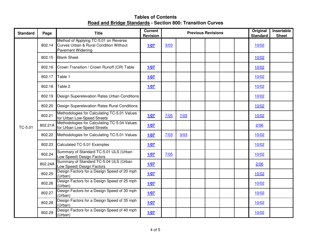| <b>Standard</b> | Page    | <b>Title</b>                                                                                                | <b>Current</b><br><b>Revision</b> | <b>Previous Revisions</b> |      |  |  |  |  | Original<br><b>Standard</b> | Insertable<br><b>Sheet</b> |
|-----------------|---------|-------------------------------------------------------------------------------------------------------------|-----------------------------------|---------------------------|------|--|--|--|--|-----------------------------|----------------------------|
|                 | 802.14  | Method of Applying TC-5.01 on Reverse<br>Curves Urban & Rural Condition Without<br><b>Pavement Widening</b> | 1/07                              | 3/03                      |      |  |  |  |  | 10/02                       |                            |
|                 | 802.15  | <b>Blank Sheet</b>                                                                                          |                                   |                           |      |  |  |  |  | 10/02                       |                            |
|                 | 802.16  | Crown Transition / Crown Runoff (CR) Table                                                                  | 1/07                              |                           |      |  |  |  |  | 10/02                       |                            |
|                 | 802.17  | Table 1                                                                                                     | 1/07                              |                           |      |  |  |  |  | 10/02                       |                            |
|                 | 802.18  | Table 2                                                                                                     | 1/07                              |                           |      |  |  |  |  | 10/02                       |                            |
|                 | 802.19  | Design Superelevation Rates Urban Conditions                                                                |                                   |                           |      |  |  |  |  | 10/02                       |                            |
| TC-5.01         | 802.20  | Design Superelevation Rates Rural Conditions                                                                |                                   |                           |      |  |  |  |  | 10/02                       |                            |
|                 | 802.21  | Methodologies for Calculating TC-5.01 Values<br>for Urban Low-Speed Streets                                 | 1/07                              | 7/05                      | 7/03 |  |  |  |  | 10/02                       |                            |
|                 | 802.21A | Methodologies for Calculating TC-5.04 Values<br>for Urban Low-Speed Streets                                 | 1/07                              |                           |      |  |  |  |  | 2/06                        |                            |
|                 | 802.22  | Methodologies for Calculating TC-5.01 Values                                                                | 1/07                              | 7/03                      | 3/03 |  |  |  |  | 10/02                       |                            |
|                 | 802.23  | Calculated TC-5.01 Examples                                                                                 | 1/07                              |                           |      |  |  |  |  | 10/02                       |                            |
|                 | 802.24  | Summary of Standard TC-5.01 ULS (Urban<br>Low Speed) Design Factors                                         | 1/07                              | 7/05                      |      |  |  |  |  | 10/02                       |                            |
|                 | 802.24A | Summary of Standard TC-5.04 ULS (Urban<br>Low Speed) Design Factors                                         | 1/07                              |                           |      |  |  |  |  | 2/06                        |                            |
|                 | 802.25  | Design Factors for a Design Speed of 20 mph<br>(Urban)                                                      | 1/07                              |                           |      |  |  |  |  | 10/02                       |                            |
|                 | 802.26  | Design Factors for a Design Speed of 25 mph<br>(Urban)                                                      | 1/07                              |                           |      |  |  |  |  | 10/02                       |                            |
|                 | 802.27  | Design Factors for a Design Speed of 30 mph<br>(Urban)                                                      | 1/07                              |                           |      |  |  |  |  | 10/02                       |                            |
|                 | 802.28  | Design Factors for a Design Speed of 35 mph<br>(Urban)                                                      | 1/07                              |                           |      |  |  |  |  | 10/02                       |                            |
|                 | 802.29  | Design Factors for a Design Speed of 40 mph<br>(Urban)                                                      | 1/07                              |                           |      |  |  |  |  | 10/02                       |                            |